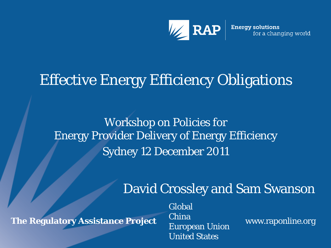

#### Effective Energy Efficiency Obligations

Workshop on Policies for Energy Provider Delivery of Energy Efficiency Sydney 12 December 2011

#### David Crossley and Sam Swanson

**The Regulatory Assistance Project**

Global China European Union United States

www.raponline.org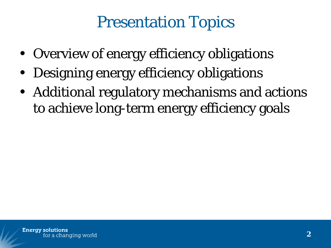#### Presentation Topics

- Overview of energy efficiency obligations
- Designing energy efficiency obligations
- Additional regulatory mechanisms and actions to achieve long-term energy efficiency goals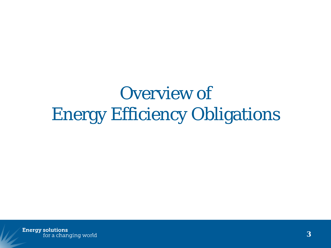# Overview of Energy Efficiency Obligations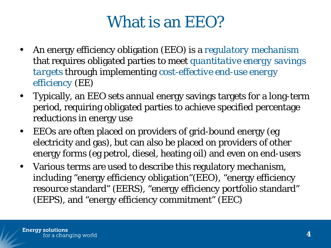#### What is an EEO?

- An energy efficiency obligation (EEO) is a *regulatory mechanism* that requires obligated parties to meet *quantitative energy savings targets* through implementing *cost-effective end-use energy efficiency* (EE)
- Typically, an EEO sets annual energy savings targets for a long-term period, requiring obligated parties to achieve specified percentage reductions in energy use
- EEOs are often placed on providers of grid-bound energy (eg electricity and gas), but can also be placed on providers of other energy forms (eg petrol, diesel, heating oil) and even on end-users
- Various terms are used to describe this regulatory mechanism, including "energy efficiency obligation"(EEO), "energy efficiency resource standard" (EERS), "energy efficiency portfolio standard" (EEPS), and "energy efficiency commitment" (EEC)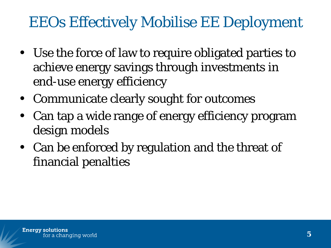#### EEOs Effectively Mobilise EE Deployment

- Use the force of law to require obligated parties to achieve energy savings through investments in end-use energy efficiency
- Communicate clearly sought for outcomes
- Can tap a wide range of energy efficiency program design models
- Can be enforced by regulation and the threat of financial penalties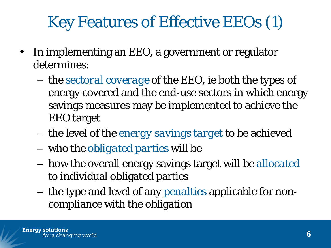### Key Features of Effective EEOs (1)

- In implementing an EEO, a government or regulator determines:
	- the *sectoral coverage* of the EEO, ie both the types of energy covered and the end-use sectors in which energy savings measures may be implemented to achieve the EEO target
	- the level of the *energy savings target* to be achieved
	- who the *obligated parties* will be
	- how the overall energy savings target will be *allocated* to individual obligated parties
	- the type and level of any *penalties* applicable for noncompliance with the obligation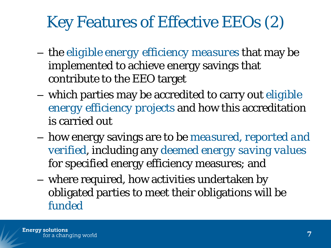#### Key Features of Effective EEOs (2)

- the *eligible energy efficiency measures* that may be implemented to achieve energy savings that contribute to the EEO target
- which parties may be accredited to carry out *eligible energy efficiency projects* and how this accreditation is carried out
- how energy savings are to be *measured, reported and verified*, including any *deemed energy saving values*  for specified energy efficiency measures; and
- where required, how activities undertaken by obligated parties to meet their obligations will be *funded*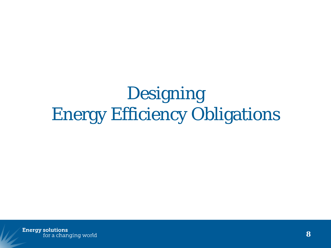# Designing Energy Efficiency Obligations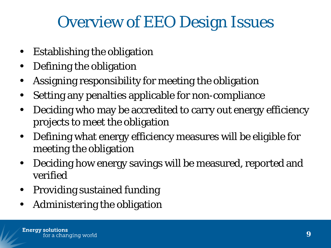#### Overview of EEO Design Issues

- Establishing the obligation
- Defining the obligation
- Assigning responsibility for meeting the obligation
- Setting any penalties applicable for non-compliance
- Deciding who may be accredited to carry out energy efficiency projects to meet the obligation
- Defining what energy efficiency measures will be eligible for meeting the obligation
- Deciding how energy savings will be measured, reported and verified
- Providing sustained funding
- Administering the obligation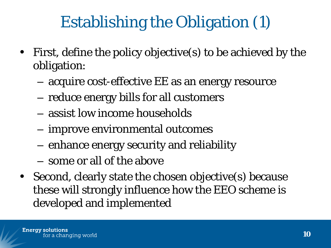## Establishing the Obligation (1)

- First, define the policy objective(s) to be achieved by the obligation:
	- acquire cost-effective EE as an energy resource
	- reduce energy bills for all customers
	- assist low income households
	- improve environmental outcomes
	- enhance energy security and reliability
	- some or all of the above
- Second, clearly state the chosen objective(s) because these will strongly influence how the EEO scheme is developed and implemented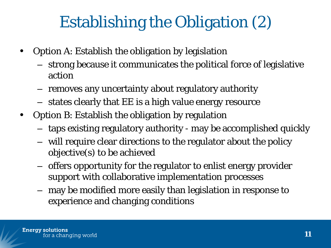### Establishing the Obligation (2)

- Option A: Establish the obligation by legislation
	- strong because it communicates the political force of legislative action
	- removes any uncertainty about regulatory authority
	- states clearly that EE is a high value energy resource
- Option B: Establish the obligation by regulation
	- taps existing regulatory authority may be accomplished quickly
	- will require clear directions to the regulator about the policy objective(s) to be achieved
	- offers opportunity for the regulator to enlist energy provider support with collaborative implementation processes
	- may be modified more easily than legislation in response to experience and changing conditions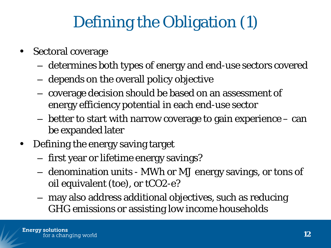## Defining the Obligation (1)

- Sectoral coverage
	- determines both types of energy and end-use sectors covered
	- depends on the overall policy objective
	- coverage decision should be based on an assessment of energy efficiency potential in each end-use sector
	- better to start with narrow coverage to gain experience can be expanded later
- Defining the energy saving target
	- first year or lifetime energy savings?
	- denomination units MWh or MJ energy savings, or tons of oil equivalent (toe), or tCO2-e?
	- may also address additional objectives, such as reducing GHG emissions or assisting low income households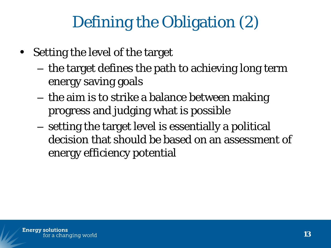### Defining the Obligation (2)

- Setting the level of the target
	- the target defines the path to achieving long term energy saving goals
	- the aim is to strike a balance between making progress and judging what is possible
	- setting the target level is essentially a political decision that should be based on an assessment of energy efficiency potential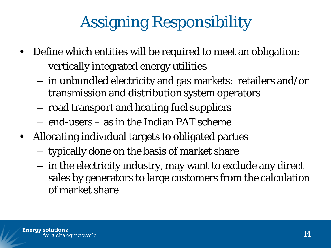# Assigning Responsibility

- Define which entities will be required to meet an obligation:
	- vertically integrated energy utilities
	- in unbundled electricity and gas markets: retailers and/or transmission and distribution system operators
	- road transport and heating fuel suppliers
	- end-users as in the Indian PAT scheme
- Allocating individual targets to obligated parties
	- typically done on the basis of market share
	- in the electricity industry, may want to exclude any direct sales by generators to large customers from the calculation of market share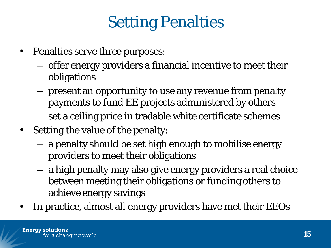### Setting Penalties

- Penalties serve three purposes:
	- offer energy providers a financial incentive to meet their obligations
	- present an opportunity to use any revenue from penalty payments to fund EE projects administered by others
	- set a ceiling price in tradable white certificate schemes
- Setting the value of the penalty:
	- a penalty should be set high enough to mobilise energy providers to meet their obligations
	- a high penalty may also give energy providers a real choice between meeting their obligations or funding others to achieve energy savings
- In practice, almost all energy providers have met their EEOs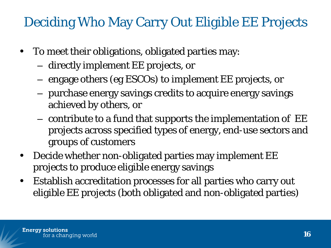#### Deciding Who May Carry Out Eligible EE Projects

- To meet their obligations, obligated parties may:
	- directly implement EE projects, or
	- engage others (eg ESCOs) to implement EE projects, or
	- purchase energy savings credits to acquire energy savings achieved by others, or
	- contribute to a fund that supports the implementation of EE projects across specified types of energy, end-use sectors and groups of customers
- Decide whether non-obligated parties may implement EE projects to produce eligible energy savings
- Establish accreditation processes for all parties who carry out eligible EE projects (both obligated and non-obligated parties)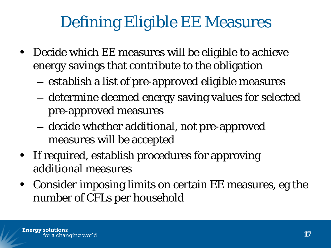### Defining Eligible EE Measures

- Decide which EE measures will be eligible to achieve energy savings that contribute to the obligation
	- establish a list of pre-approved eligible measures
	- determine deemed energy saving values for selected pre-approved measures
	- decide whether additional, not pre-approved measures will be accepted
- If required, establish procedures for approving additional measures
- Consider imposing limits on certain EE measures, eg the number of CFLs per household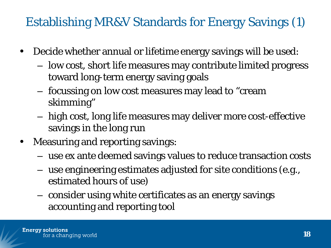#### Establishing MR&V Standards for Energy Savings (1)

- Decide whether annual or lifetime energy savings will be used:
	- low cost, short life measures may contribute limited progress toward long-term energy saving goals
	- focussing on low cost measures may lead to "cream skimming"
	- high cost, long life measures may deliver more cost-effective savings in the long run
- Measuring and reporting savings:
	- use ex ante deemed savings values to reduce transaction costs
	- use engineering estimates adjusted for site conditions (e.g., estimated hours of use)
	- consider using white certificates as an energy savings accounting and reporting tool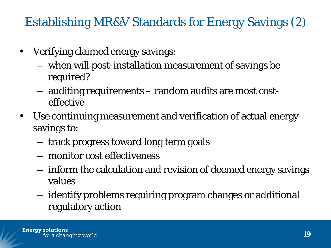Establishing MR&V Standards for Energy Savings (2)

- Verifying claimed energy savings:
	- when will post-installation measurement of savings be required?
	- auditing requirements random audits are most costeffective
- Use continuing measurement and verification of actual energy savings to:
	- track progress toward long term goals
	- monitor cost effectiveness
	- inform the calculation and revision of deemed energy savings values
	- identify problems requiring program changes or additional regulatory action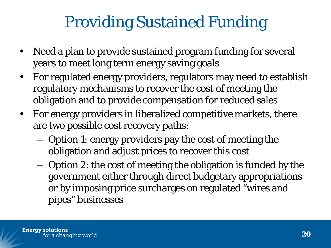### Providing Sustained Funding

- Need a plan to provide sustained program funding for several years to meet long term energy saving goals
- For regulated energy providers, regulators may need to establish regulatory mechanisms to recover the cost of meeting the obligation and to provide compensation for reduced sales
- For energy providers in liberalized competitive markets, there are two possible cost recovery paths:
	- Option 1: energy providers pay the cost of meeting the obligation and adjust prices to recover this cost
	- Option 2: the cost of meeting the obligation is funded by the government either through direct budgetary appropriations or by imposing price surcharges on regulated "wires and pipes" businesses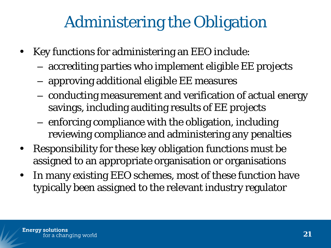#### Administering the Obligation

- Key functions for administering an EEO include:
	- accrediting parties who implement eligible EE projects
	- approving additional eligible EE measures
	- conducting measurement and verification of actual energy savings, including auditing results of EE projects
	- enforcing compliance with the obligation, including reviewing compliance and administering any penalties
- Responsibility for these key obligation functions must be assigned to an appropriate organisation or organisations
- In many existing EEO schemes, most of these function have typically been assigned to the relevant industry regulator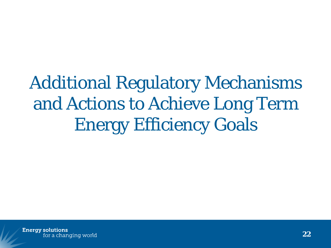Additional Regulatory Mechanisms and Actions to Achieve Long Term Energy Efficiency Goals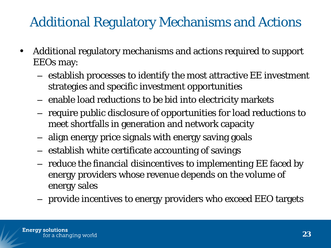#### Additional Regulatory Mechanisms and Actions

- Additional regulatory mechanisms and actions required to support EEOs may:
	- establish processes to identify the most attractive EE investment strategies and specific investment opportunities
	- enable load reductions to be bid into electricity markets
	- require public disclosure of opportunities for load reductions to meet shortfalls in generation and network capacity
	- align energy price signals with energy saving goals
	- establish white certificate accounting of savings
	- reduce the financial disincentives to implementing EE faced by energy providers whose revenue depends on the volume of energy sales
	- provide incentives to energy providers who exceed EEO targets